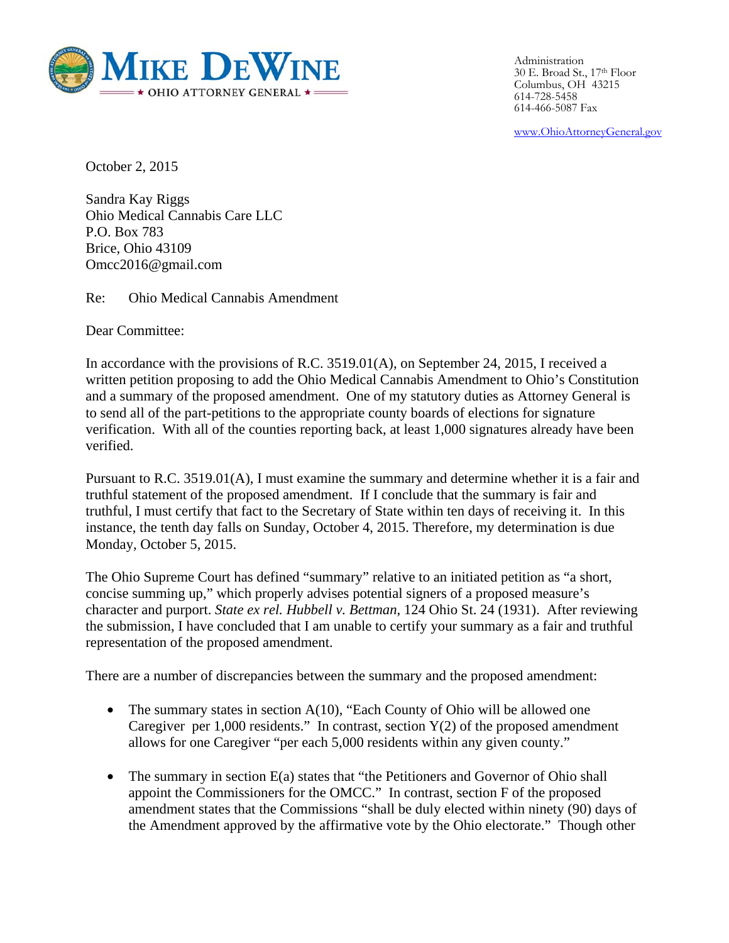

Administration 30 E. Broad St., 17th Floor Columbus, OH 43215 614-728-5458 614-466-5087 Fax

www.OhioAttorneyGeneral.gov

October 2, 2015

Sandra Kay Riggs Ohio Medical Cannabis Care LLC P.O. Box 783 Brice, Ohio 43109 Omcc2016@gmail.com

Re: Ohio Medical Cannabis Amendment

Dear Committee:

In accordance with the provisions of R.C. 3519.01(A), on September 24, 2015, I received a written petition proposing to add the Ohio Medical Cannabis Amendment to Ohio's Constitution and a summary of the proposed amendment. One of my statutory duties as Attorney General is to send all of the part-petitions to the appropriate county boards of elections for signature verification. With all of the counties reporting back, at least 1,000 signatures already have been verified.

Pursuant to R.C. 3519.01(A), I must examine the summary and determine whether it is a fair and truthful statement of the proposed amendment. If I conclude that the summary is fair and truthful, I must certify that fact to the Secretary of State within ten days of receiving it. In this instance, the tenth day falls on Sunday, October 4, 2015. Therefore, my determination is due Monday, October 5, 2015.

The Ohio Supreme Court has defined "summary" relative to an initiated petition as "a short, concise summing up," which properly advises potential signers of a proposed measure's character and purport. *State ex rel. Hubbell v. Bettman*, 124 Ohio St. 24 (1931). After reviewing the submission, I have concluded that I am unable to certify your summary as a fair and truthful representation of the proposed amendment.

There are a number of discrepancies between the summary and the proposed amendment:

- The summary states in section  $A(10)$ , "Each County of Ohio will be allowed one Caregiver per  $1,000$  residents." In contrast, section  $Y(2)$  of the proposed amendment allows for one Caregiver "per each 5,000 residents within any given county."
- The summary in section E(a) states that "the Petitioners and Governor of Ohio shall appoint the Commissioners for the OMCC." In contrast, section F of the proposed amendment states that the Commissions "shall be duly elected within ninety (90) days of the Amendment approved by the affirmative vote by the Ohio electorate." Though other